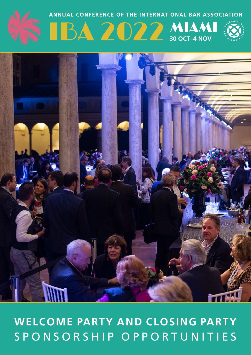# WELCOME PARTY AND CLOSING PARTY SPONSORSHIP OPPORTUNITIES



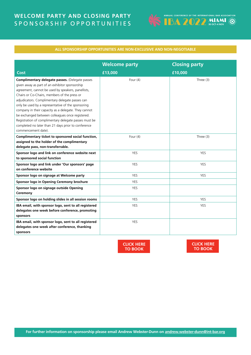# **WELCOME PARTY AND CLOSING PARTY SPONSORSHIP OPPORTUNITIES**



# **ALL SPONSORSHIP OPPORTUNITIES ARE NON-EXCLUSIVE AND NON-NEGOTIABLE**

|                                                                                                                                                                                                                                                                                                                                                                                                                                                                                                                                                                     | <b>Welcome party</b> | <b>Closing party</b> |
|---------------------------------------------------------------------------------------------------------------------------------------------------------------------------------------------------------------------------------------------------------------------------------------------------------------------------------------------------------------------------------------------------------------------------------------------------------------------------------------------------------------------------------------------------------------------|----------------------|----------------------|
| Cost                                                                                                                                                                                                                                                                                                                                                                                                                                                                                                                                                                | £13,000              | £10,000              |
| Complimentary delegate passes. (Delegate passes<br>given away as part of an exhibitor sponsorship<br>agreement, cannot be used by speakers, panellists,<br>Chairs or Co-Chairs, members of the press or<br>adjudicators. Complimentary delegate passes can<br>only be used by a representative of the sponsoring<br>company in their capacity as a delegate. They cannot<br>be exchanged between colleagues once registered.<br>Registration of complimentary delegate passes must be<br>completed no later than 21 days prior to conference<br>commencement date). | Four $(4)$           | Three (3)            |
| Complimentary ticket to sponsored social function,<br>assigned to the holder of the complimentary<br>delegate pass, non-transferrable.                                                                                                                                                                                                                                                                                                                                                                                                                              | Four $(4)$           | Three (3)            |
| Sponsor logo and link on conference website next<br>to sponsored social function                                                                                                                                                                                                                                                                                                                                                                                                                                                                                    | <b>YES</b>           | <b>YES</b>           |
| Sponsor logo and link under 'Our sponsors' page<br>on conference website                                                                                                                                                                                                                                                                                                                                                                                                                                                                                            | <b>YES</b>           | <b>YES</b>           |
| Sponsor logo on signage at Welcome party                                                                                                                                                                                                                                                                                                                                                                                                                                                                                                                            | <b>YES</b>           | <b>YES</b>           |
| Sponsor logo in Opening Ceremony brochure                                                                                                                                                                                                                                                                                                                                                                                                                                                                                                                           | <b>YES</b>           |                      |
| Sponsor logo on signage outside Opening<br>Ceremony                                                                                                                                                                                                                                                                                                                                                                                                                                                                                                                 | YES                  |                      |
| Sponsor logo on holding slides in all session rooms                                                                                                                                                                                                                                                                                                                                                                                                                                                                                                                 | <b>YES</b>           | <b>YES</b>           |
| IBA email, with sponsor logo, sent to all registered<br>delegates one week before conference, promoting<br>sponsors                                                                                                                                                                                                                                                                                                                                                                                                                                                 | <b>YES</b>           | <b>YES</b>           |
| IBA email, with sponsor logo, sent to all registered<br>delegates one week after conference, thanking<br>sponsors                                                                                                                                                                                                                                                                                                                                                                                                                                                   | <b>YES</b>           |                      |



**[CLICK HERE](http://www.int-bar.org/Conferences/Registration/Booking/Index.cfm?uid=10E99B97-EDB3-4E77-AB26-A056A8B602E2&bookingUid=89580E0B-9296-465D-A983-3CC0FEE685F8) TO BOOK**